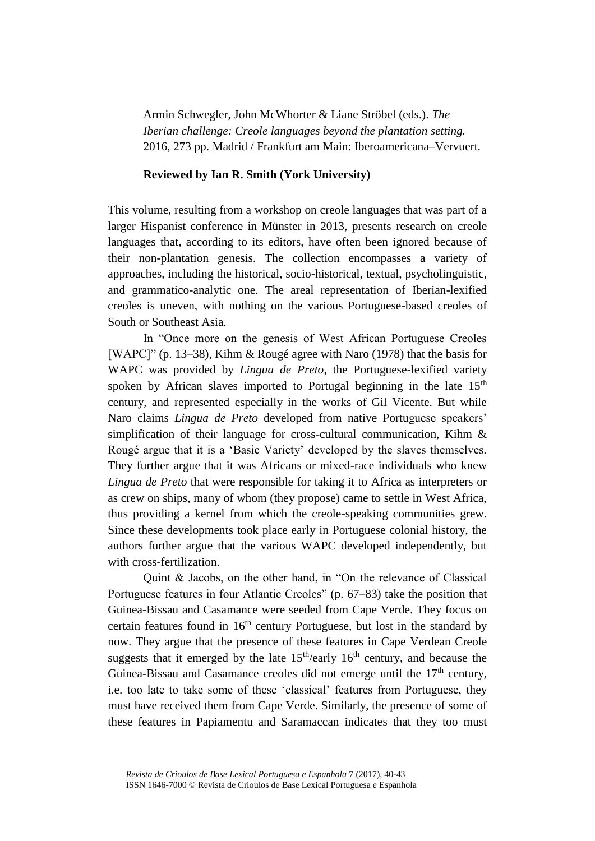Armin Schwegler, John McWhorter & Liane Ströbel (eds.). *The Iberian challenge: Creole languages beyond the plantation setting.* 2016, 273 pp. Madrid / Frankfurt am Main: Iberoamericana–Vervuert.

## **Reviewed by Ian R. Smith (York University)**

This volume, resulting from a workshop on creole languages that was part of a larger Hispanist conference in Münster in 2013, presents research on creole languages that, according to its editors, have often been ignored because of their non-plantation genesis. The collection encompasses a variety of approaches, including the historical, socio-historical, textual, psycholinguistic, and grammatico-analytic one. The areal representation of Iberian-lexified creoles is uneven, with nothing on the various Portuguese-based creoles of South or Southeast Asia.

In "Once more on the genesis of West African Portuguese Creoles [WAPC]" (p. 13–38), Kihm & Rougé agree with Naro (1978) that the basis for WAPC was provided by *Lingua de Preto*, the Portuguese-lexified variety spoken by African slaves imported to Portugal beginning in the late  $15<sup>th</sup>$ century, and represented especially in the works of Gil Vicente. But while Naro claims *Lingua de Preto* developed from native Portuguese speakers' simplification of their language for cross-cultural communication, Kihm  $\&$ Rougé argue that it is a 'Basic Variety' developed by the slaves themselves. They further argue that it was Africans or mixed-race individuals who knew *Lingua de Preto* that were responsible for taking it to Africa as interpreters or as crew on ships, many of whom (they propose) came to settle in West Africa, thus providing a kernel from which the creole-speaking communities grew. Since these developments took place early in Portuguese colonial history, the authors further argue that the various WAPC developed independently, but with cross-fertilization.

Quint & Jacobs, on the other hand, in "On the relevance of Classical Portuguese features in four Atlantic Creoles" (p. 67–83) take the position that Guinea-Bissau and Casamance were seeded from Cape Verde. They focus on certain features found in  $16<sup>th</sup>$  century Portuguese, but lost in the standard by now. They argue that the presence of these features in Cape Verdean Creole suggests that it emerged by the late  $15<sup>th</sup>/early 16<sup>th</sup> century$ , and because the Guinea-Bissau and Casamance creoles did not emerge until the  $17<sup>th</sup>$  century, i.e. too late to take some of these 'classical' features from Portuguese, they must have received them from Cape Verde. Similarly, the presence of some of these features in Papiamentu and Saramaccan indicates that they too must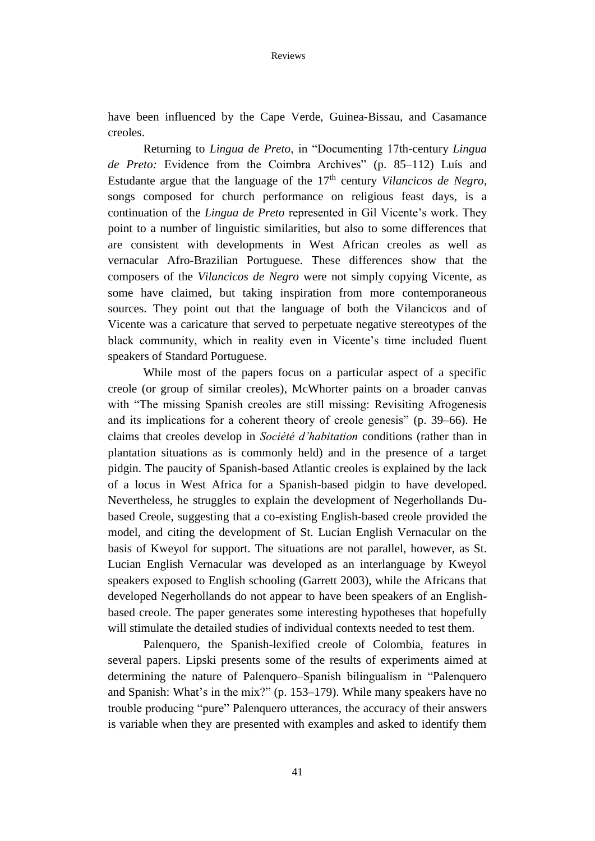have been influenced by the Cape Verde, Guinea-Bissau, and Casamance creoles.

Returning to *Lingua de Preto*, in "Documenting 17th-century *Lingua de Preto:* Evidence from the Coimbra Archives" (p. 85–112) Luís and Estudante argue that the language of the 17<sup>th</sup> century *Vilancicos de Negro*, songs composed for church performance on religious feast days, is a continuation of the *Lingua de Preto* represented in Gil Vicente's work. They point to a number of linguistic similarities, but also to some differences that are consistent with developments in West African creoles as well as vernacular Afro-Brazilian Portuguese. These differences show that the composers of the *Vilancicos de Negro* were not simply copying Vicente, as some have claimed, but taking inspiration from more contemporaneous sources. They point out that the language of both the Vilancicos and of Vicente was a caricature that served to perpetuate negative stereotypes of the black community, which in reality even in Vicente's time included fluent speakers of Standard Portuguese.

While most of the papers focus on a particular aspect of a specific creole (or group of similar creoles), McWhorter paints on a broader canvas with "The missing Spanish creoles are still missing: Revisiting Afrogenesis and its implications for a coherent theory of creole genesis" (p. 39–66). He claims that creoles develop in *Société d'habitation* conditions (rather than in plantation situations as is commonly held) and in the presence of a target pidgin. The paucity of Spanish-based Atlantic creoles is explained by the lack of a locus in West Africa for a Spanish-based pidgin to have developed. Nevertheless, he struggles to explain the development of Negerhollands Dubased Creole, suggesting that a co-existing English-based creole provided the model, and citing the development of St. Lucian English Vernacular on the basis of Kweyol for support. The situations are not parallel, however, as St. Lucian English Vernacular was developed as an interlanguage by Kweyol speakers exposed to English schooling (Garrett 2003), while the Africans that developed Negerhollands do not appear to have been speakers of an Englishbased creole. The paper generates some interesting hypotheses that hopefully will stimulate the detailed studies of individual contexts needed to test them.

Palenquero, the Spanish-lexified creole of Colombia, features in several papers. Lipski presents some of the results of experiments aimed at determining the nature of Palenquero–Spanish bilingualism in "Palenquero and Spanish: What's in the mix?" (p. 153–179). While many speakers have no trouble producing "pure" Palenquero utterances, the accuracy of their answers is variable when they are presented with examples and asked to identify them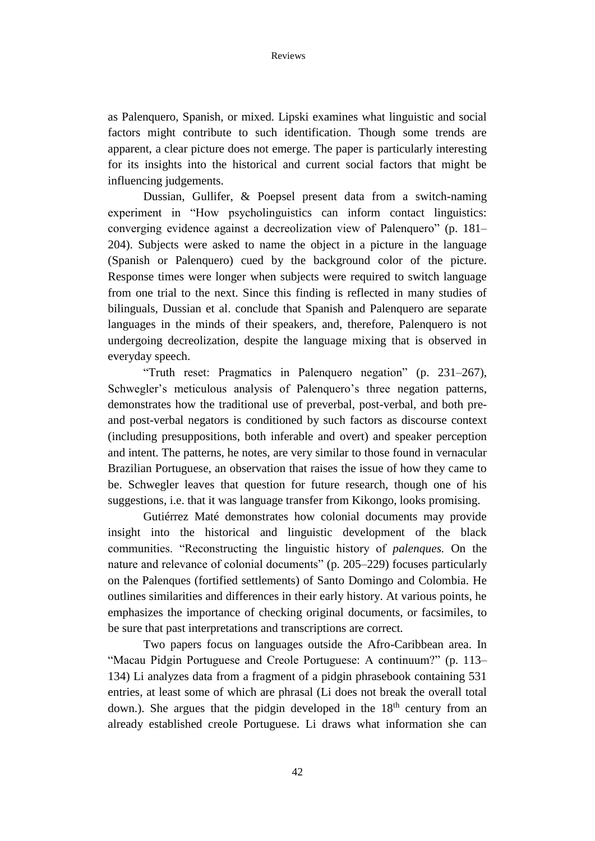as Palenquero, Spanish, or mixed. Lipski examines what linguistic and social factors might contribute to such identification. Though some trends are apparent, a clear picture does not emerge. The paper is particularly interesting for its insights into the historical and current social factors that might be influencing judgements.

Dussian, Gullifer, & Poepsel present data from a switch-naming experiment in "How psycholinguistics can inform contact linguistics: converging evidence against a decreolization view of Palenquero" (p. 181– 204). Subjects were asked to name the object in a picture in the language (Spanish or Palenquero) cued by the background color of the picture. Response times were longer when subjects were required to switch language from one trial to the next. Since this finding is reflected in many studies of bilinguals, Dussian et al. conclude that Spanish and Palenquero are separate languages in the minds of their speakers, and, therefore, Palenquero is not undergoing decreolization, despite the language mixing that is observed in everyday speech.

"Truth reset: Pragmatics in Palenquero negation" (p. 231–267), Schwegler's meticulous analysis of Palenquero's three negation patterns, demonstrates how the traditional use of preverbal, post-verbal, and both preand post-verbal negators is conditioned by such factors as discourse context (including presuppositions, both inferable and overt) and speaker perception and intent. The patterns, he notes, are very similar to those found in vernacular Brazilian Portuguese, an observation that raises the issue of how they came to be. Schwegler leaves that question for future research, though one of his suggestions, i.e. that it was language transfer from Kikongo, looks promising.

Gutiérrez Maté demonstrates how colonial documents may provide insight into the historical and linguistic development of the black communities. "Reconstructing the linguistic history of *palenques.* On the nature and relevance of colonial documents" (p. 205–229) focuses particularly on the Palenques (fortified settlements) of Santo Domingo and Colombia. He outlines similarities and differences in their early history. At various points, he emphasizes the importance of checking original documents, or facsimiles, to be sure that past interpretations and transcriptions are correct.

Two papers focus on languages outside the Afro-Caribbean area. In "Macau Pidgin Portuguese and Creole Portuguese: A continuum?" (p. 113– 134) Li analyzes data from a fragment of a pidgin phrasebook containing 531 entries, at least some of which are phrasal (Li does not break the overall total down.). She argues that the pidgin developed in the  $18<sup>th</sup>$  century from an already established creole Portuguese. Li draws what information she can